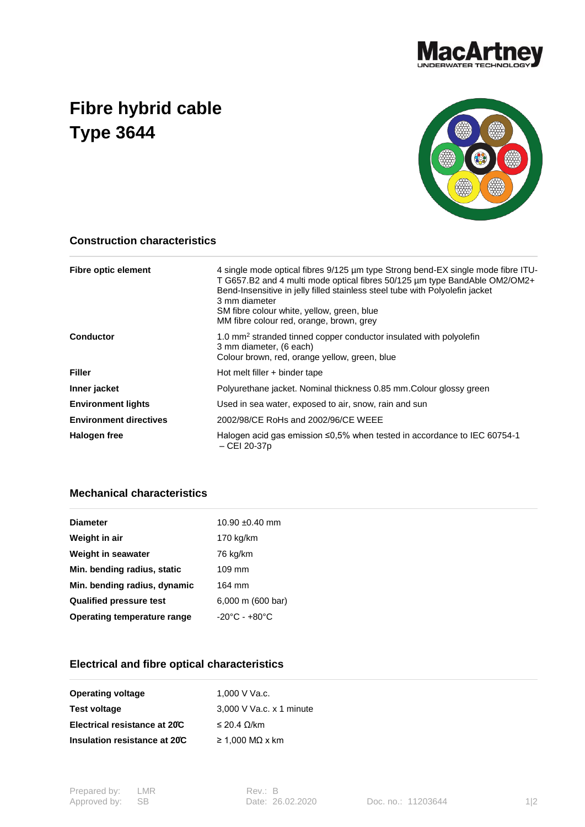

## **Fibre hybrid cable Type 3644**



## **Construction characteristics**

| <b>Fibre optic element</b>    | 4 single mode optical fibres 9/125 µm type Strong bend-EX single mode fibre ITU-<br>T G657.B2 and 4 multi mode optical fibres 50/125 µm type BandAble OM2/OM2+<br>Bend-Insensitive in jelly filled stainless steel tube with Polyolefin jacket<br>3 mm diameter<br>SM fibre colour white, yellow, green, blue<br>MM fibre colour red, orange, brown, grey |
|-------------------------------|-----------------------------------------------------------------------------------------------------------------------------------------------------------------------------------------------------------------------------------------------------------------------------------------------------------------------------------------------------------|
| <b>Conductor</b>              | 1.0 mm <sup>2</sup> stranded tinned copper conductor insulated with polyolefin<br>3 mm diameter, (6 each)<br>Colour brown, red, orange yellow, green, blue                                                                                                                                                                                                |
| <b>Filler</b>                 | Hot melt filler + binder tape                                                                                                                                                                                                                                                                                                                             |
| Inner jacket                  | Polyurethane jacket. Nominal thickness 0.85 mm. Colour glossy green                                                                                                                                                                                                                                                                                       |
| <b>Environment lights</b>     | Used in sea water, exposed to air, snow, rain and sun                                                                                                                                                                                                                                                                                                     |
| <b>Environment directives</b> | 2002/98/CE RoHs and 2002/96/CE WEEE                                                                                                                                                                                                                                                                                                                       |
| Halogen free                  | Halogen acid gas emission ≤0,5% when tested in accordance to IEC 60754-1<br>$-$ CEI 20-37p                                                                                                                                                                                                                                                                |

## **Mechanical characteristics**

| <b>Diameter</b>                | $10.90 \pm 0.40$ mm               |
|--------------------------------|-----------------------------------|
| Weight in air                  | 170 kg/km                         |
| Weight in seawater             | 76 kg/km                          |
| Min. bending radius, static    | $109$ mm                          |
| Min. bending radius, dynamic   | 164 mm                            |
| <b>Qualified pressure test</b> | 6,000 m (600 bar)                 |
| Operating temperature range    | $-20^{\circ}$ C - $+80^{\circ}$ C |
|                                |                                   |

## **Electrical and fibre optical characteristics**

| <b>Operating voltage</b>      | 1.000 V Va.c.            |
|-------------------------------|--------------------------|
| Test voltage                  | 3,000 V Va.c. x 1 minute |
| Electrical resistance at 20°C | ≤ 20.4 Ω/km              |
| Insulation resistance at 20C  | $\geq$ 1.000 MQ x km     |